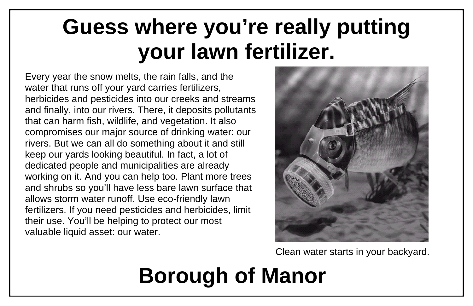## **Guess where you're really putting your lawn fertilizer.**

# **Borough of Manor**

Every year the snow melts, the rain falls, and the water that runs off your yard carries fertilizers, herbicides and pesticides into our creeks and streams and finally, into our rivers. There, it deposits pollutants that can harm fish, wildlife, and vegetation. It also compromises our major source of drinking water: our rivers. But we can all do something about it and still keep our yards looking beautiful. In fact, a lot of dedicated people and municipalities are already working on it. And you can help too. Plant more trees and shrubs so you'll have less bare lawn surface that allows storm water runoff. Use eco-friendly lawn fertilizers. If you need pesticides and herbicides, limit their use. You'll be helping to protect our most valuable liquid asset: our water.



### Clean water starts in your backyard.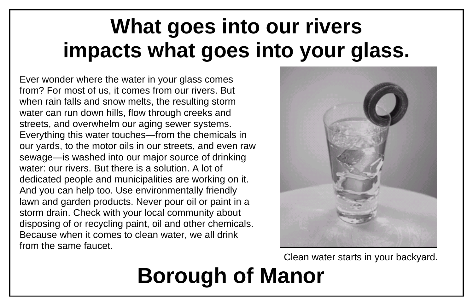### **What goes into our rivers impacts what goes into your glass.**

# **Borough of Manor**

### Clean water starts in your backyard.

Ever wonder where the water in your glass comes from? For most of us, it comes from our rivers. But when rain falls and snow melts, the resulting storm water can run down hills, flow through creeks and streets, and overwhelm our aging sewer systems. Everything this water touches—from the chemicals in our yards, to the motor oils in our streets, and even raw sewage—is washed into our major source of drinking water: our rivers. But there is a solution. A lot of dedicated people and municipalities are working on it. And you can help too. Use environmentally friendly lawn and garden products. Never pour oil or paint in a storm drain. Check with your local community about disposing of or recycling paint, oil and other chemicals. Because when it comes to clean water, we all drink from the same faucet.